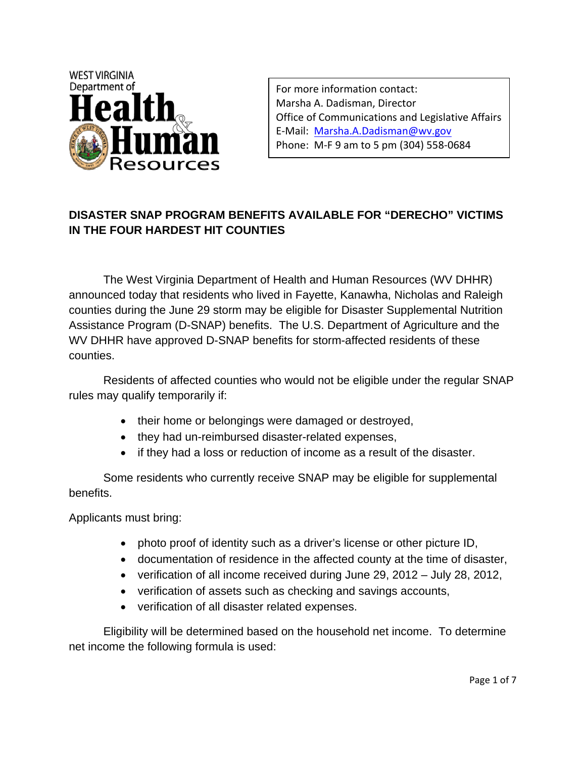

For more information contact: Marsha A. Dadisman, Director Office of Communications and Legislative Affairs E‐Mail: Marsha.A.Dadisman@wv.gov Phone: M‐F 9 am to 5 pm (304) 558‐0684

# **DISASTER SNAP PROGRAM BENEFITS AVAILABLE FOR "DERECHO" VICTIMS IN THE FOUR HARDEST HIT COUNTIES**

The West Virginia Department of Health and Human Resources (WV DHHR) announced today that residents who lived in Fayette, Kanawha, Nicholas and Raleigh counties during the June 29 storm may be eligible for Disaster Supplemental Nutrition Assistance Program (D-SNAP) benefits. The U.S. Department of Agriculture and the WV DHHR have approved D-SNAP benefits for storm-affected residents of these counties.

Residents of affected counties who would not be eligible under the regular SNAP rules may qualify temporarily if:

- their home or belongings were damaged or destroyed,
- they had un-reimbursed disaster-related expenses,
- if they had a loss or reduction of income as a result of the disaster.

Some residents who currently receive SNAP may be eligible for supplemental benefits.

Applicants must bring:

- photo proof of identity such as a driver's license or other picture ID,
- documentation of residence in the affected county at the time of disaster,
- verification of all income received during June 29, 2012 July 28, 2012,
- verification of assets such as checking and savings accounts,
- verification of all disaster related expenses.

Eligibility will be determined based on the household net income. To determine net income the following formula is used: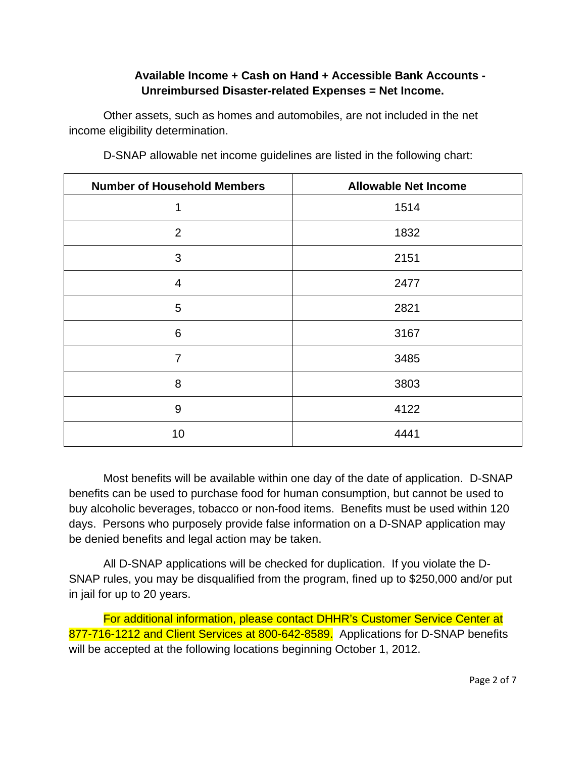## **Available Income + Cash on Hand + Accessible Bank Accounts - Unreimbursed Disaster-related Expenses = Net Income.**

Other assets, such as homes and automobiles, are not included in the net income eligibility determination.

| <b>Number of Household Members</b> | <b>Allowable Net Income</b> |
|------------------------------------|-----------------------------|
| 1                                  | 1514                        |
| $\overline{2}$                     | 1832                        |
| 3                                  | 2151                        |
| $\overline{4}$                     | 2477                        |
| 5                                  | 2821                        |
| 6                                  | 3167                        |
| $\overline{7}$                     | 3485                        |
| 8                                  | 3803                        |
| 9                                  | 4122                        |
| 10                                 | 4441                        |

D-SNAP allowable net income guidelines are listed in the following chart:

Most benefits will be available within one day of the date of application. D-SNAP benefits can be used to purchase food for human consumption, but cannot be used to buy alcoholic beverages, tobacco or non-food items. Benefits must be used within 120 days. Persons who purposely provide false information on a D-SNAP application may be denied benefits and legal action may be taken.

All D-SNAP applications will be checked for duplication. If you violate the D-SNAP rules, you may be disqualified from the program, fined up to \$250,000 and/or put in jail for up to 20 years.

For additional information, please contact DHHR's Customer Service Center at 877-716-1212 and Client Services at 800-642-8589. Applications for D-SNAP benefits will be accepted at the following locations beginning October 1, 2012.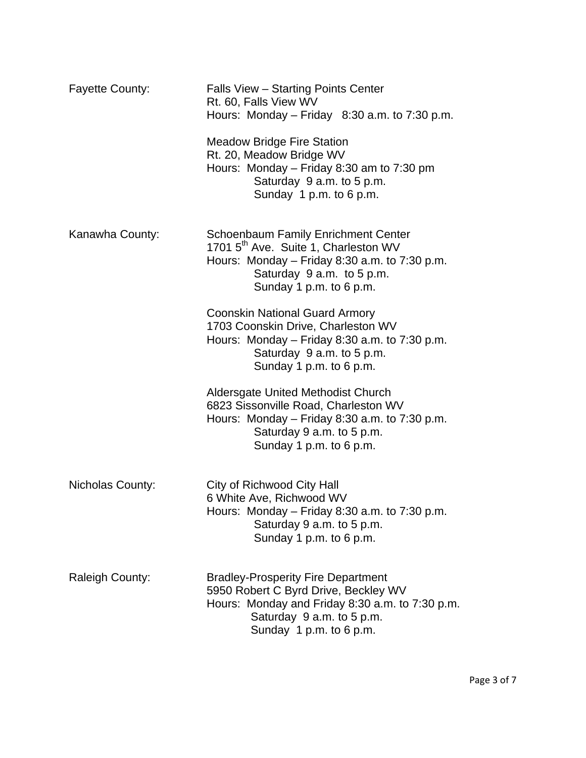| <b>Fayette County:</b> | Falls View - Starting Points Center<br>Rt. 60, Falls View WV<br>Hours: Monday – Friday $8:30$ a.m. to 7:30 p.m.                                                                                           |
|------------------------|-----------------------------------------------------------------------------------------------------------------------------------------------------------------------------------------------------------|
|                        | <b>Meadow Bridge Fire Station</b><br>Rt. 20, Meadow Bridge WV<br>Hours: Monday $-$ Friday 8:30 am to 7:30 pm<br>Saturday 9 a.m. to 5 p.m.<br>Sunday 1 p.m. to 6 p.m.                                      |
| Kanawha County:        | <b>Schoenbaum Family Enrichment Center</b><br>1701 5 <sup>th</sup> Ave. Suite 1, Charleston WV<br>Hours: Monday $-$ Friday 8:30 a.m. to 7:30 p.m.<br>Saturday 9 a.m. to 5 p.m.<br>Sunday 1 p.m. to 6 p.m. |
|                        | <b>Coonskin National Guard Armory</b><br>1703 Coonskin Drive, Charleston WV<br>Hours: Monday $-$ Friday 8:30 a.m. to 7:30 p.m.<br>Saturday 9 a.m. to 5 p.m.<br>Sunday 1 p.m. to 6 p.m.                    |
|                        | <b>Aldersgate United Methodist Church</b><br>6823 Sissonville Road, Charleston WV<br>Hours: Monday $-$ Friday 8:30 a.m. to 7:30 p.m.<br>Saturday 9 a.m. to 5 p.m.<br>Sunday 1 p.m. to 6 p.m.              |
| Nicholas County:       | City of Richwood City Hall<br>6 White Ave, Richwood WV<br>Hours: Monday - Friday 8:30 a.m. to 7:30 p.m.<br>Saturday 9 a.m. to 5 p.m.<br>Sunday 1 p.m. to 6 p.m.                                           |
| <b>Raleigh County:</b> | <b>Bradley-Prosperity Fire Department</b><br>5950 Robert C Byrd Drive, Beckley WV<br>Hours: Monday and Friday 8:30 a.m. to 7:30 p.m.<br>Saturday 9 a.m. to 5 p.m.<br>Sunday 1 p.m. to 6 p.m.              |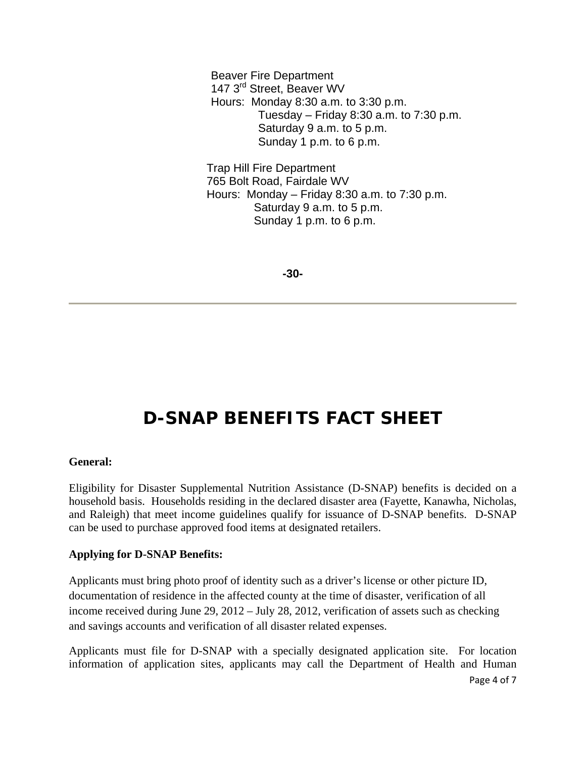Beaver Fire Department 147 3<sup>rd</sup> Street, Beaver WV Hours: Monday 8:30 a.m. to 3:30 p.m. Tuesday – Friday 8:30 a.m. to  $7:30$  p.m. Saturday 9 a.m. to 5 p.m. Sunday 1 p.m. to 6 p.m.

 Trap Hill Fire Department 765 Bolt Road, Fairdale WV Hours: Monday – Friday 8:30 a.m. to 7:30 p.m. Saturday 9 a.m. to 5 p.m. Sunday 1 p.m. to 6 p.m.

**-30-** 

# **D-SNAP BENEFITS FACT SHEET**

#### **General:**

Eligibility for Disaster Supplemental Nutrition Assistance (D-SNAP) benefits is decided on a household basis. Households residing in the declared disaster area (Fayette, Kanawha, Nicholas, and Raleigh) that meet income guidelines qualify for issuance of D-SNAP benefits. D-SNAP can be used to purchase approved food items at designated retailers.

#### **Applying for D-SNAP Benefits:**

Applicants must bring photo proof of identity such as a driver's license or other picture ID, documentation of residence in the affected county at the time of disaster, verification of all income received during June 29, 2012 – July 28, 2012, verification of assets such as checking and savings accounts and verification of all disaster related expenses.

Applicants must file for D-SNAP with a specially designated application site. For location information of application sites, applicants may call the Department of Health and Human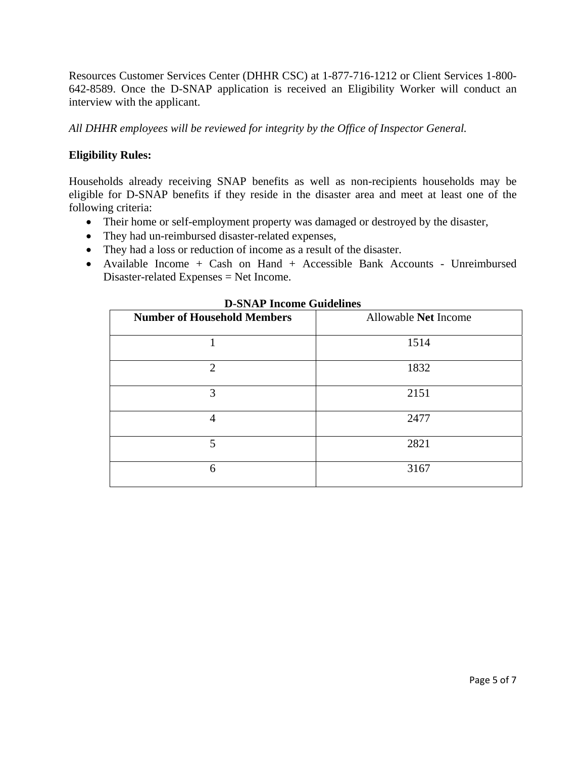Resources Customer Services Center (DHHR CSC) at 1-877-716-1212 or Client Services 1-800- 642-8589. Once the D-SNAP application is received an Eligibility Worker will conduct an interview with the applicant.

*All DHHR employees will be reviewed for integrity by the Office of Inspector General.* 

#### **Eligibility Rules:**

Households already receiving SNAP benefits as well as non-recipients households may be eligible for D-SNAP benefits if they reside in the disaster area and meet at least one of the following criteria:

- Their home or self-employment property was damaged or destroyed by the disaster,
- They had un-reimbursed disaster-related expenses,
- They had a loss or reduction of income as a result of the disaster.
- Available Income + Cash on Hand + Accessible Bank Accounts Unreimbursed Disaster-related Expenses = Net Income.

| <u>s</u> prim micome culaemics     |                      |
|------------------------------------|----------------------|
| <b>Number of Household Members</b> | Allowable Net Income |
|                                    | 1514                 |
| 2                                  | 1832                 |
| 3                                  | 2151                 |
| 4                                  | 2477                 |
| 5                                  | 2821                 |
| 6                                  | 3167                 |

**D-SNAP Income Guidelines**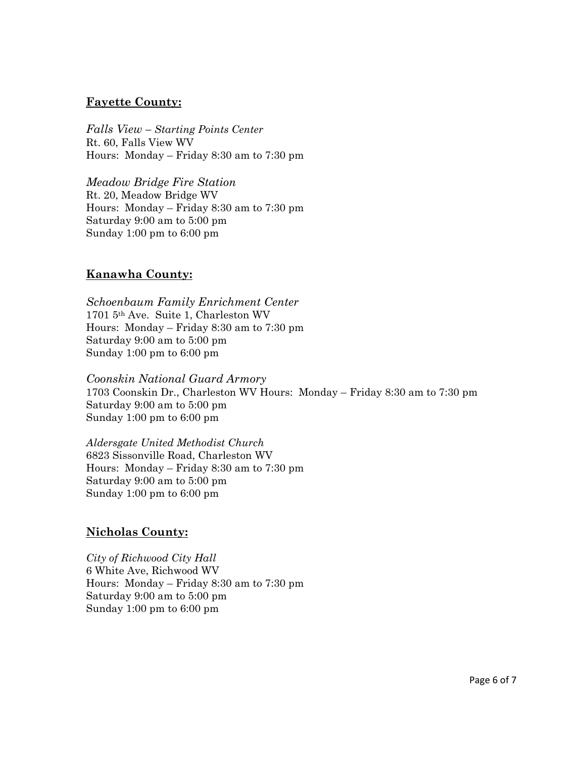#### **Fayette County:**

*Falls View – Starting Points Center*  Rt. 60, Falls View WV Hours: Monday – Friday 8:30 am to 7:30 pm

*Meadow Bridge Fire Station*  Rt. 20, Meadow Bridge WV Hours: Monday – Friday 8:30 am to 7:30 pm Saturday 9:00 am to 5:00 pm Sunday 1:00 pm to 6:00 pm

## **Kanawha County:**

*Schoenbaum Family Enrichment Center*  1701 5th Ave. Suite 1, Charleston WV Hours: Monday – Friday 8:30 am to 7:30 pm Saturday 9:00 am to 5:00 pm Sunday 1:00 pm to 6:00 pm

*Coonskin National Guard Armory*  1703 Coonskin Dr., Charleston WV Hours: Monday – Friday 8:30 am to 7:30 pm Saturday 9:00 am to 5:00 pm Sunday 1:00 pm to 6:00 pm

*Aldersgate United Methodist Church* 6823 Sissonville Road, Charleston WV Hours: Monday – Friday 8:30 am to 7:30 pm Saturday 9:00 am to 5:00 pm Sunday 1:00 pm to 6:00 pm

#### **Nicholas County:**

*City of Richwood City Hall*  6 White Ave, Richwood WV Hours: Monday – Friday 8:30 am to 7:30 pm Saturday 9:00 am to 5:00 pm Sunday 1:00 pm to 6:00 pm